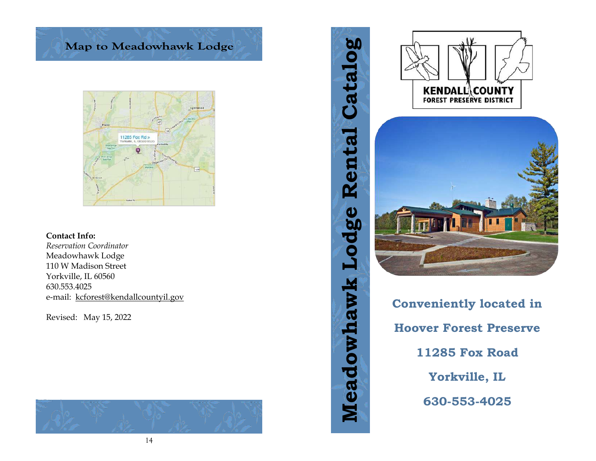## Map to Meadowhawk Lodge



### **Contact Info:**

*Reservation Coordinator* Meadowhawk Lodge 110 W Madison Street Yorkville, IL 60560 630.553.4025 e-mail: kcforest@kendallcountyil.gov

Revised: May 15, 2022









**Conveniently located in Hoover Forest Preserve 11285 Fox Road Yorkville, IL 630 -553 -4025**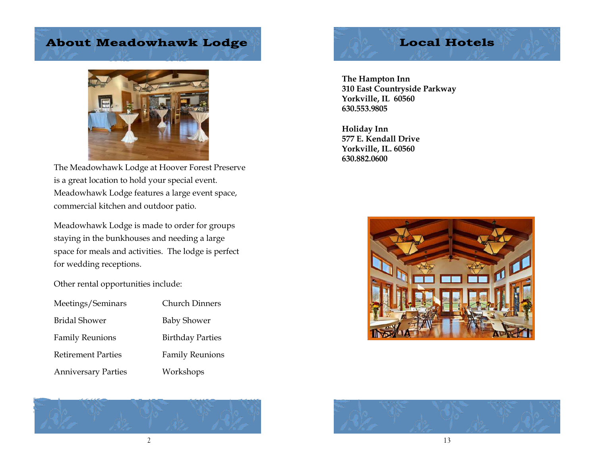# **About Meadowhawk Lodge**



The Meadowhawk Lodge at Hoover Forest Preserve is a great location to hold your special event. Meadowhawk Lodge features a large event space, commercial kitchen and outdoor patio.

Meadowhawk Lodge is made to order for groups staying in the bunkhouses and needing a large space for meals and activities. The lodge is perfect for wedding receptions.

Other rental opportunities include:

| Meetings/Seminars          | <b>Church Dinners</b>   |  |
|----------------------------|-------------------------|--|
| <b>Bridal Shower</b>       | <b>Baby Shower</b>      |  |
| <b>Family Reunions</b>     | <b>Birthday Parties</b> |  |
| <b>Retirement Parties</b>  | <b>Family Reunions</b>  |  |
| <b>Anniversary Parties</b> | Workshops               |  |

# **Local Hotels**

**The Hampton Inn 310 East Countryside Parkway Yorkville, IL 60560 630.553.9805**

**Holiday Inn 577 E. Kendall Drive Yorkville, IL. 60560 630.882.0600**





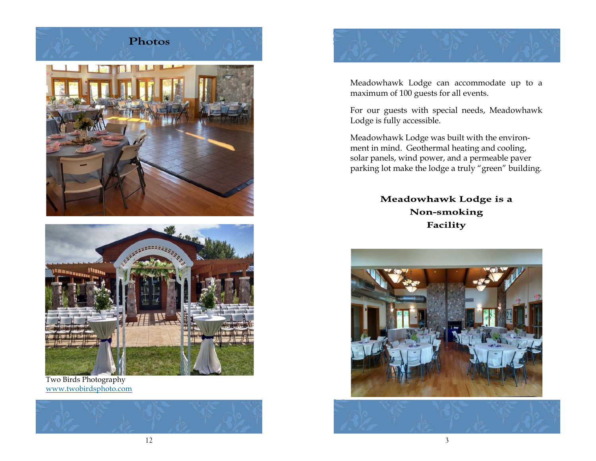

Two Birds Photography [www.twobirdsphoto.com](http://www.twobirdsphoto.com)





Meadowhawk Lodge can accommodate up to a maximum of 100 guests for all events.

For our guests with special needs, Meadowhawk Lodge is fully accessible.

Meadowhawk Lodge was built with the environment in mind. Geothermal heating and cooling, solar panels, wind power, and a permeable paver parking lot make the lodge a truly "green" building.

> Meadowhawk Lodge is a Non-smoking Facility



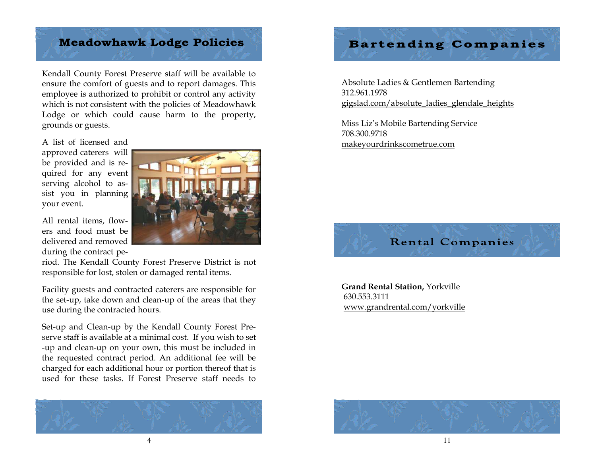## **Meadowhawk Lodge Policies**

Kendall County Forest Preserve staff will be available to ensure the comfort of guests and to report damages. This employee is authorized to prohibit or control any activity which is not consistent with the policies of Meadowhawk Lodge or which could cause harm to the property, grounds or guests.

A list of licensed and approved caterers will be provided and is required for any event serving alcohol to assist you in planning your event.

All rental items, flowers and food must be delivered and removed during the contract pe-

riod. The Kendall County Forest Preserve District is not responsible for lost, stolen or damaged rental items.

Facility guests and contracted caterers are responsible for the set-up, take down and clean-up of the areas that they use during the contracted hours.

Set-up and Clean-up by the Kendall County Forest Preserve staff is available at a minimal cost. If you wish to set -up and clean-up on your own, this must be included in the requested contract period. An additional fee will be charged for each additional hour or portion thereof that is used for these tasks. If Forest Preserve staff needs to





## **Bartending Companies**

Absolute Ladies & Gentlemen Bartending 312.961.1978 gigslad.com/absolute\_ladies\_glendale\_heights

Miss Liz's Mobile Bartending Service 708.300.9718 makeyourdrinkscometrue.com



**Grand Rental Station,** Yorkville 630.553.3111 [www.grandrental.com/yorkville](http://www.grandrental.com/yorkville)

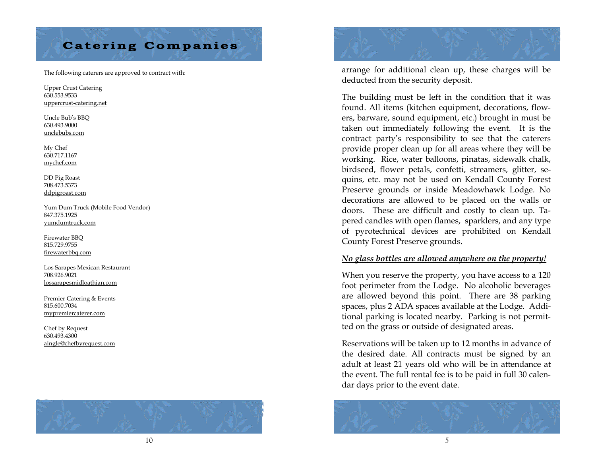# **Catering Companies**

The following caterers are approved to contract with:

Upper Crust Catering 630.553.9533 uppercrust -catering.net

Uncle Bub's BBQ 630.493.9000 unclebubs.com

My Chef 630.717.1167 mychef.com

DD Pig Roast 708.473.5373 ddpigroast.com

Yum Dum Truck (Mobile Food Vendor) 847.375.1925 yumdumtruck.com

Firewater BBQ 815.729.9755 firewaterbbq.com

Los Sarapes Mexican Restaurant 708.926.9021 lossarapesmidloathian.com

Premier Catering & Events 815.600.7034 mypremiercaterer.com

Chef by Request 630.493.4300 aingle@chefbyrequest.com





arrange for additional clean up, these charges will be deducted from the security deposit.

The building must be left in the condition that it was found. All items (kitchen equipment, decorations, flowers, barware, sound equipment, etc.) brought in must be taken out immediately following the event. It is the contract party's responsibility to see that the caterers provide proper clean up for all areas where they will be working. Rice, water balloons, pinatas, sidewalk chalk, birdseed, flower petals, confetti, streamers, glitter, sequins, etc. may not be used on Kendall County Forest Preserve grounds or inside Meadowhawk Lodge. No decorations are allowed to be placed on the walls or doors. These are difficult and costly to clean up. Tapered candles with open flames, sparklers, and any type of pyrotechnical devices are prohibited on Kendall County Forest Preserve grounds.

#### *No glass bottles are allowed anywhere on the property!*

When you reserve the property, you have access to a 120 foot perimeter from the Lodge. No alcoholic beverages are allowed beyond this point. There are 38 parking spaces, plus 2 ADA spaces available at the Lodge. Additional parking is located nearby. Parking is not permitted on the grass or outside of designated areas.

Reservations will be taken up to 12 months in advance of the desired date. All contracts must be signed by an adult at least 21 years old who will be in attendance at the event. The full rental fee is to be paid in full 30 calendar days prior to the event date.

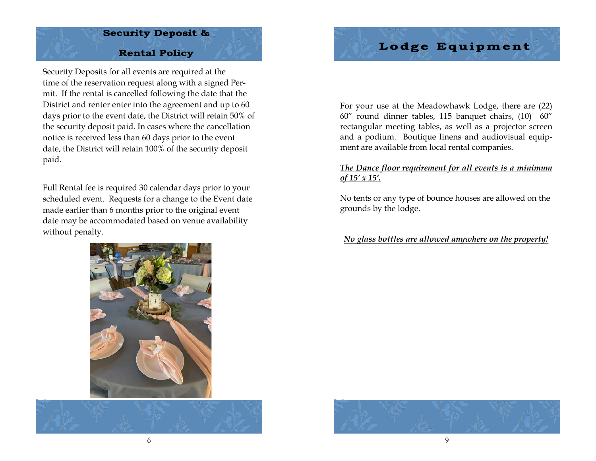## **Security Deposit &**

### **Rental Policy**

Security Deposits for all events are required at the time of the reservation request along with a signed Permit. If the rental is cancelled following the date that the District and renter enter into the agreement and up to 60 days prior to the event date, the District will retain 50% of the security deposit paid. In cases where the cancellation notice is received less than 60 days prior to the event date, the District will retain 100% of the security deposit paid.

Full Rental fee is required 30 calendar days prior to your scheduled event. Requests for a change to the Event date made earlier than 6 months prior to the original event date may be accommodated based on venue availability without penalty.





For your use at the Meadowhawk Lodge, there are (22) 60" round dinner tables, 115 banquet chairs, (10) 60" rectangular meeting tables, as well as a projector screen and a podium. Boutique linens and audiovisual equipment are available from local rental companies.

### *The Dance floor requirement for all events is a minimum of 15' x 15'.*

No tents or any type of bounce houses are allowed on the grounds by the lodge.

### *No glass bottles are allowed anywhere on the property!*